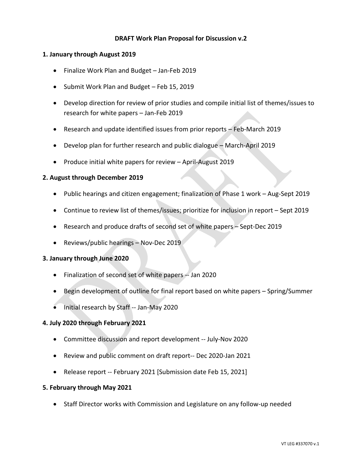## **DRAFT Work Plan Proposal for Discussion v.2**

### **1. January through August 2019**

- Finalize Work Plan and Budget Jan-Feb 2019
- Submit Work Plan and Budget Feb 15, 2019
- Develop direction for review of prior studies and compile initial list of themes/issues to research for white papers – Jan-Feb 2019
- Research and update identified issues from prior reports Feb-March 2019
- Develop plan for further research and public dialogue March-April 2019
- Produce initial white papers for review April-August 2019

### **2. August through December 2019**

- Public hearings and citizen engagement; finalization of Phase 1 work Aug-Sept 2019
- Continue to review list of themes/issues; prioritize for inclusion in report Sept 2019
- Research and produce drafts of second set of white papers Sept-Dec 2019
- Reviews/public hearings Nov-Dec 2019

### **3. January through June 2020**

- Finalization of second set of white papers -- Jan 2020
- Begin development of outline for final report based on white papers Spring/Summer
- Initial research by Staff -- Jan-May 2020

### **4. July 2020 through February 2021**

- Committee discussion and report development -- July-Nov 2020
- Review and public comment on draft report-- Dec 2020-Jan 2021
- Release report -- February 2021 [Submission date Feb 15, 2021]

### **5. February through May 2021**

• Staff Director works with Commission and Legislature on any follow-up needed